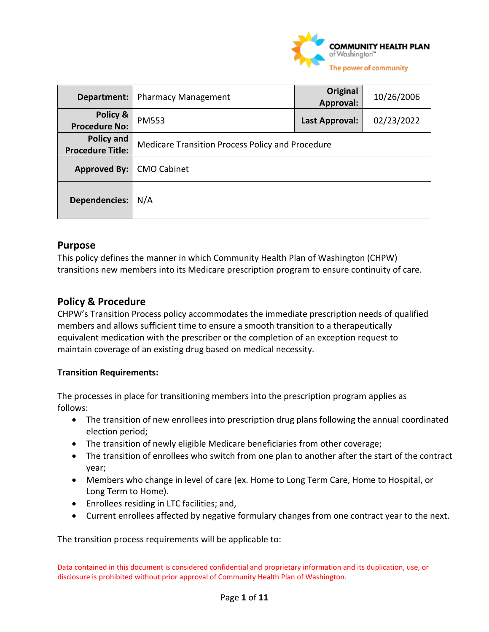

| Department:                           | <b>Pharmacy Management</b>                       | <b>Original</b><br>Approval: | 10/26/2006 |
|---------------------------------------|--------------------------------------------------|------------------------------|------------|
| Policy &<br><b>Procedure No:</b>      | <b>PM553</b>                                     | Last Approval:               | 02/23/2022 |
| Policy and<br><b>Procedure Title:</b> | Medicare Transition Process Policy and Procedure |                              |            |
| <b>Approved By:</b>                   | <b>CMO Cabinet</b>                               |                              |            |
| <b>Dependencies:</b>                  | N/A                                              |                              |            |

## **Purpose**

This policy defines the manner in which Community Health Plan of Washington (CHPW) transitions new members into its Medicare prescription program to ensure continuity of care.

### **Policy & Procedure**

CHPW's Transition Process policy accommodates the immediate prescription needs of qualified members and allows sufficient time to ensure a smooth transition to a therapeutically equivalent medication with the prescriber or the completion of an exception request to maintain coverage of an existing drug based on medical necessity.

### **Transition Requirements:**

The processes in place for transitioning members into the prescription program applies as follows:

- The transition of new enrollees into prescription drug plans following the annual coordinated election period;
- The transition of newly eligible Medicare beneficiaries from other coverage;
- The transition of enrollees who switch from one plan to another after the start of the contract year;
- Members who change in level of care (ex. Home to Long Term Care, Home to Hospital, or Long Term to Home).
- Enrollees residing in LTC facilities; and,
- Current enrollees affected by negative formulary changes from one contract year to the next.

The transition process requirements will be applicable to: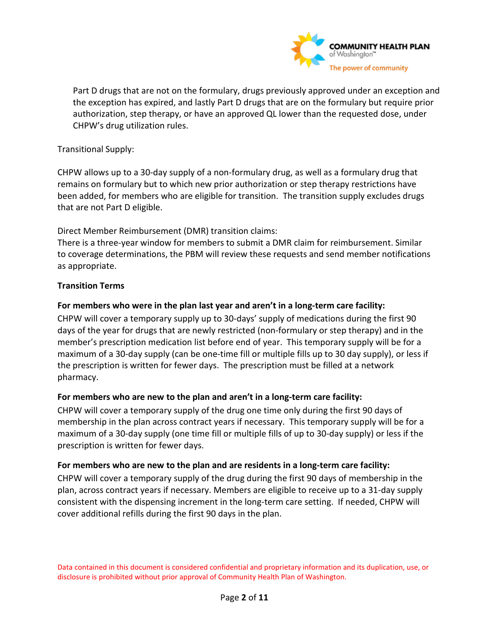

Part D drugs that are not on the formulary, drugs previously approved under an exception and the exception has expired, and lastly Part D drugs that are on the formulary but require prior authorization, step therapy, or have an approved QL lower than the requested dose, under CHPW's drug utilization rules.

Transitional Supply:

CHPW allows up to a 30-day supply of a non-formulary drug, as well as a formulary drug that remains on formulary but to which new prior authorization or step therapy restrictions have been added, for members who are eligible for transition. The transition supply excludes drugs that are not Part D eligible.

Direct Member Reimbursement (DMR) transition claims:

There is a three-year window for members to submit a DMR claim for reimbursement. Similar to coverage determinations, the PBM will review these requests and send member notifications as appropriate.

### **Transition Terms**

### **For members who were in the plan last year and aren't in a long-term care facility:**

CHPW will cover a temporary supply up to 30-days' supply of medications during the first 90 days of the year for drugs that are newly restricted (non-formulary or step therapy) and in the member's prescription medication list before end of year. This temporary supply will be for a maximum of a 30-day supply (can be one-time fill or multiple fills up to 30 day supply), or less if the prescription is written for fewer days. The prescription must be filled at a network pharmacy.

### **For members who are new to the plan and aren't in a long-term care facility:**

CHPW will cover a temporary supply of the drug one time only during the first 90 days of membership in the plan across contract years if necessary. This temporary supply will be for a maximum of a 30-day supply (one time fill or multiple fills of up to 30-day supply) or less if the prescription is written for fewer days.

### **For members who are new to the plan and are residents in a long-term care facility:**

CHPW will cover a temporary supply of the drug during the first 90 days of membership in the plan, across contract years if necessary. Members are eligible to receive up to a 31-day supply consistent with the dispensing increment in the long-term care setting. If needed, CHPW will cover additional refills during the first 90 days in the plan.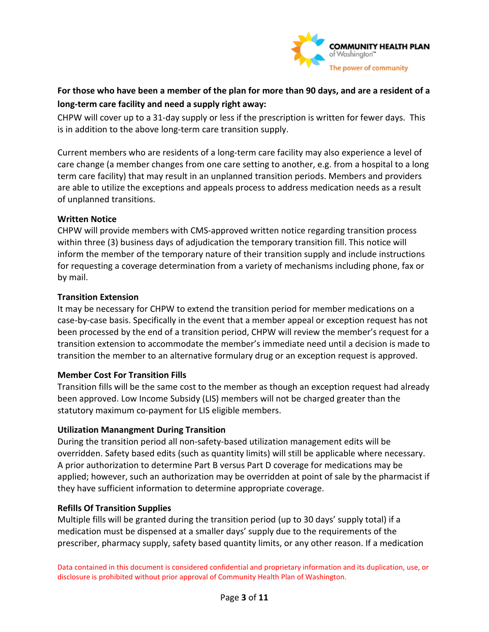

# **For those who have been a member of the plan for more than 90 days, and are a resident of a long-term care facility and need a supply right away:**

CHPW will cover up to a 31-day supply or less if the prescription is written for fewer days. This is in addition to the above long-term care transition supply.

Current members who are residents of a long-term care facility may also experience a level of care change (a member changes from one care setting to another, e.g. from a hospital to a long term care facility) that may result in an unplanned transition periods. Members and providers are able to utilize the exceptions and appeals process to address medication needs as a result of unplanned transitions.

### **Written Notice**

CHPW will provide members with CMS-approved written notice regarding transition process within three (3) business days of adjudication the temporary transition fill. This notice will inform the member of the temporary nature of their transition supply and include instructions for requesting a coverage determination from a variety of mechanisms including phone, fax or by mail.

### **Transition Extension**

It may be necessary for CHPW to extend the transition period for member medications on a case-by-case basis. Specifically in the event that a member appeal or exception request has not been processed by the end of a transition period, CHPW will review the member's request for a transition extension to accommodate the member's immediate need until a decision is made to transition the member to an alternative formulary drug or an exception request is approved.

### **Member Cost For Transition Fills**

Transition fills will be the same cost to the member as though an exception request had already been approved. Low Income Subsidy (LIS) members will not be charged greater than the statutory maximum co-payment for LIS eligible members.

### **Utilization Manangment During Transition**

During the transition period all non-safety-based utilization management edits will be overridden. Safety based edits (such as quantity limits) will still be applicable where necessary. A prior authorization to determine Part B versus Part D coverage for medications may be applied; however, such an authorization may be overridden at point of sale by the pharmacist if they have sufficient information to determine appropriate coverage.

### **Refills Of Transition Supplies**

Multiple fills will be granted during the transition period (up to 30 days' supply total) if a medication must be dispensed at a smaller days' supply due to the requirements of the prescriber, pharmacy supply, safety based quantity limits, or any other reason. If a medication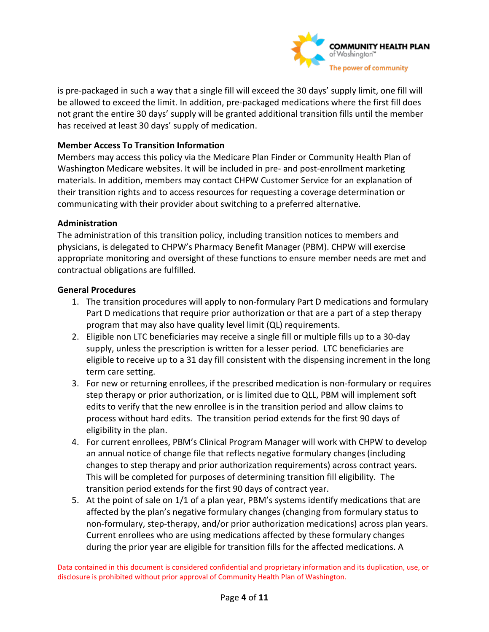

is pre-packaged in such a way that a single fill will exceed the 30 days' supply limit, one fill will be allowed to exceed the limit. In addition, pre-packaged medications where the first fill does not grant the entire 30 days' supply will be granted additional transition fills until the member has received at least 30 days' supply of medication.

### **Member Access To Transition Information**

Members may access this policy via the Medicare Plan Finder or Community Health Plan of Washington Medicare websites. It will be included in pre- and post-enrollment marketing materials. In addition, members may contact CHPW Customer Service for an explanation of their transition rights and to access resources for requesting a coverage determination or communicating with their provider about switching to a preferred alternative.

### **Administration**

The administration of this transition policy, including transition notices to members and physicians, is delegated to CHPW's Pharmacy Benefit Manager (PBM). CHPW will exercise appropriate monitoring and oversight of these functions to ensure member needs are met and contractual obligations are fulfilled.

### **General Procedures**

- 1. The transition procedures will apply to non-formulary Part D medications and formulary Part D medications that require prior authorization or that are a part of a step therapy program that may also have quality level limit (QL) requirements.
- 2. Eligible non LTC beneficiaries may receive a single fill or multiple fills up to a 30-day supply, unless the prescription is written for a lesser period. LTC beneficiaries are eligible to receive up to a 31 day fill consistent with the dispensing increment in the long term care setting.
- 3. For new or returning enrollees, if the prescribed medication is non-formulary or requires step therapy or prior authorization, or is limited due to QLL, PBM will implement soft edits to verify that the new enrollee is in the transition period and allow claims to process without hard edits. The transition period extends for the first 90 days of eligibility in the plan.
- 4. For current enrollees, PBM's Clinical Program Manager will work with CHPW to develop an annual notice of change file that reflects negative formulary changes (including changes to step therapy and prior authorization requirements) across contract years. This will be completed for purposes of determining transition fill eligibility. The transition period extends for the first 90 days of contract year.
- 5. At the point of sale on 1/1 of a plan year, PBM's systems identify medications that are affected by the plan's negative formulary changes (changing from formulary status to non-formulary, step-therapy, and/or prior authorization medications) across plan years. Current enrollees who are using medications affected by these formulary changes during the prior year are eligible for transition fills for the affected medications. A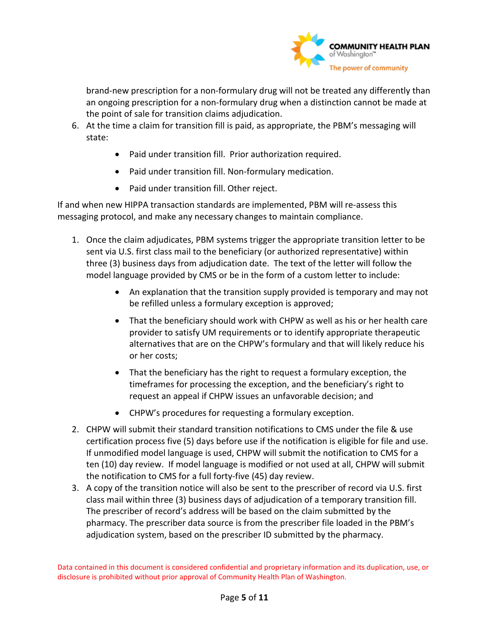

brand-new prescription for a non-formulary drug will not be treated any differently than an ongoing prescription for a non-formulary drug when a distinction cannot be made at the point of sale for transition claims adjudication.

- 6. At the time a claim for transition fill is paid, as appropriate, the PBM's messaging will state:
	- Paid under transition fill. Prior authorization required.
	- Paid under transition fill. Non-formulary medication.
	- Paid under transition fill. Other reject.

If and when new HIPPA transaction standards are implemented, PBM will re-assess this messaging protocol, and make any necessary changes to maintain compliance.

- 1. Once the claim adjudicates, PBM systems trigger the appropriate transition letter to be sent via U.S. first class mail to the beneficiary (or authorized representative) within three (3) business days from adjudication date. The text of the letter will follow the model language provided by CMS or be in the form of a custom letter to include:
	- An explanation that the transition supply provided is temporary and may not be refilled unless a formulary exception is approved;
	- That the beneficiary should work with CHPW as well as his or her health care provider to satisfy UM requirements or to identify appropriate therapeutic alternatives that are on the CHPW's formulary and that will likely reduce his or her costs;
	- That the beneficiary has the right to request a formulary exception, the timeframes for processing the exception, and the beneficiary's right to request an appeal if CHPW issues an unfavorable decision; and
	- CHPW's procedures for requesting a formulary exception.
- 2. CHPW will submit their standard transition notifications to CMS under the file & use certification process five (5) days before use if the notification is eligible for file and use. If unmodified model language is used, CHPW will submit the notification to CMS for a ten (10) day review. If model language is modified or not used at all, CHPW will submit the notification to CMS for a full forty-five (45) day review.
- 3. A copy of the transition notice will also be sent to the prescriber of record via U.S. first class mail within three (3) business days of adjudication of a temporary transition fill. The prescriber of record's address will be based on the claim submitted by the pharmacy. The prescriber data source is from the prescriber file loaded in the PBM's adjudication system, based on the prescriber ID submitted by the pharmacy.

Data contained in this document is considered confidential and proprietary information and its duplication, use, or disclosure is prohibited without prior approval of Community Health Plan of Washington.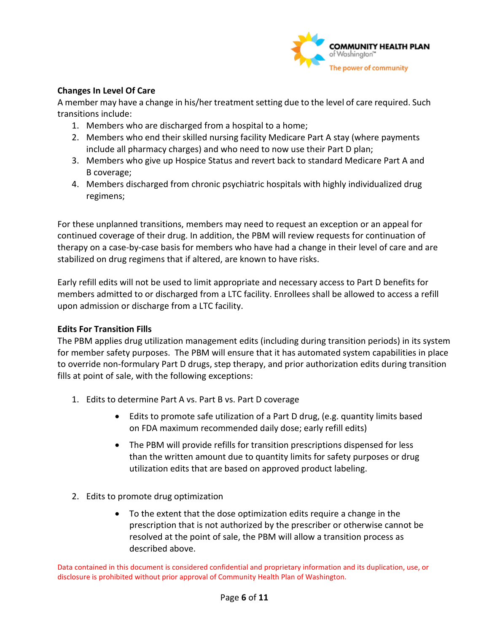

### **Changes In Level Of Care**

A member may have a change in his/her treatment setting due to the level of care required. Such transitions include:

- 1. Members who are discharged from a hospital to a home;
- 2. Members who end their skilled nursing facility Medicare Part A stay (where payments include all pharmacy charges) and who need to now use their Part D plan;
- 3. Members who give up Hospice Status and revert back to standard Medicare Part A and B coverage;
- 4. Members discharged from chronic psychiatric hospitals with highly individualized drug regimens;

For these unplanned transitions, members may need to request an exception or an appeal for continued coverage of their drug. In addition, the PBM will review requests for continuation of therapy on a case-by-case basis for members who have had a change in their level of care and are stabilized on drug regimens that if altered, are known to have risks.

Early refill edits will not be used to limit appropriate and necessary access to Part D benefits for members admitted to or discharged from a LTC facility. Enrollees shall be allowed to access a refill upon admission or discharge from a LTC facility.

### **Edits For Transition Fills**

The PBM applies drug utilization management edits (including during transition periods) in its system for member safety purposes. The PBM will ensure that it has automated system capabilities in place to override non-formulary Part D drugs, step therapy, and prior authorization edits during transition fills at point of sale, with the following exceptions:

- 1. Edits to determine Part A vs. Part B vs. Part D coverage
	- Edits to promote safe utilization of a Part D drug, (e.g. quantity limits based on FDA maximum recommended daily dose; early refill edits)
	- The PBM will provide refills for transition prescriptions dispensed for less than the written amount due to quantity limits for safety purposes or drug utilization edits that are based on approved product labeling.
- 2. Edits to promote drug optimization
	- To the extent that the dose optimization edits require a change in the prescription that is not authorized by the prescriber or otherwise cannot be resolved at the point of sale, the PBM will allow a transition process as described above.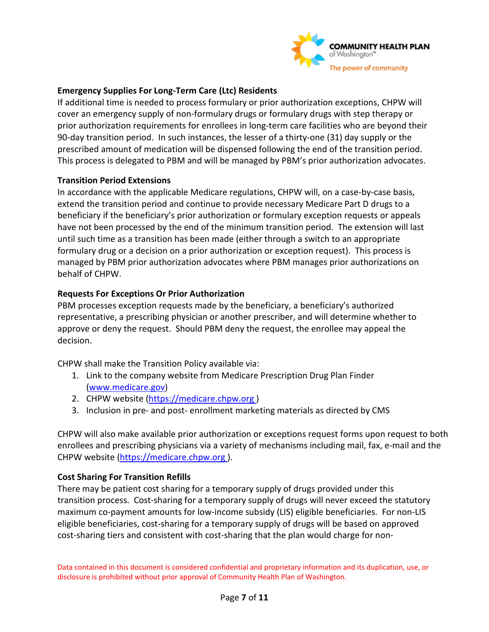

### **Emergency Supplies For Long-Term Care (Ltc) Residents**

If additional time is needed to process formulary or prior authorization exceptions, CHPW will cover an emergency supply of non-formulary drugs or formulary drugs with step therapy or prior authorization requirements for enrollees in long-term care facilities who are beyond their 90-day transition period. In such instances, the lesser of a thirty-one (31) day supply or the prescribed amount of medication will be dispensed following the end of the transition period. This process is delegated to PBM and will be managed by PBM's prior authorization advocates.

### **Transition Period Extensions**

In accordance with the applicable Medicare regulations, CHPW will, on a case-by-case basis, extend the transition period and continue to provide necessary Medicare Part D drugs to a beneficiary if the beneficiary's prior authorization or formulary exception requests or appeals have not been processed by the end of the minimum transition period. The extension will last until such time as a transition has been made (either through a switch to an appropriate formulary drug or a decision on a prior authorization or exception request). This process is managed by PBM prior authorization advocates where PBM manages prior authorizations on behalf of CHPW.

### **Requests For Exceptions Or Prior Authorization**

PBM processes exception requests made by the beneficiary, a beneficiary's authorized representative, a prescribing physician or another prescriber, and will determine whether to approve or deny the request. Should PBM deny the request, the enrollee may appeal the decision.

CHPW shall make the Transition Policy available via:

- 1. Link to the company website from Medicare Prescription Drug Plan Finder [\(www.medicare.gov\)](http://www.medicare.gov/)
- 2. CHPW website (https://medicare.chpw.org )
- 3. Inclusion in pre- and post- enrollment marketing materials as directed by CMS

CHPW will also make available prior authorization or exceptions request forms upon request to both enrollees and prescribing physicians via a variety of mechanisms including mail, fax, e-mail and the CHPW website [\(https://medicare.chpw.org \)](https://medicare.chpw.org/).

### **Cost Sharing For Transition Refills**

There may be patient cost sharing for a temporary supply of drugs provided under this transition process. Cost-sharing for a temporary supply of drugs will never exceed the statutory maximum co-payment amounts for low-income subsidy (LIS) eligible beneficiaries. For non-LIS eligible beneficiaries, cost-sharing for a temporary supply of drugs will be based on approved cost-sharing tiers and consistent with cost-sharing that the plan would charge for non-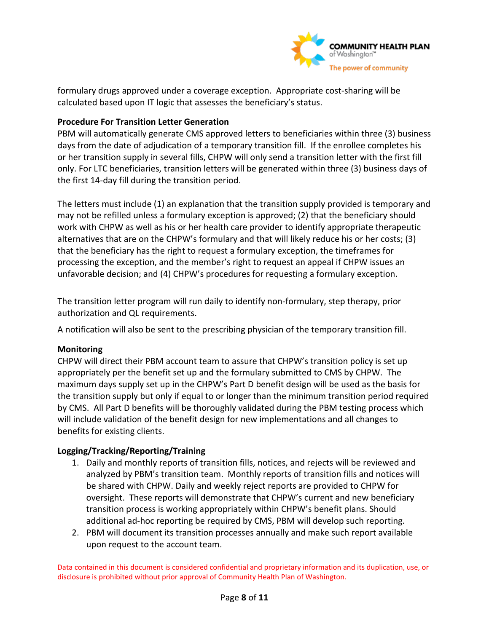

formulary drugs approved under a coverage exception. Appropriate cost-sharing will be calculated based upon IT logic that assesses the beneficiary's status.

### **Procedure For Transition Letter Generation**

PBM will automatically generate CMS approved letters to beneficiaries within three (3) business days from the date of adjudication of a temporary transition fill. If the enrollee completes his or her transition supply in several fills, CHPW will only send a transition letter with the first fill only. For LTC beneficiaries, transition letters will be generated within three (3) business days of the first 14-day fill during the transition period.

The letters must include (1) an explanation that the transition supply provided is temporary and may not be refilled unless a formulary exception is approved; (2) that the beneficiary should work with CHPW as well as his or her health care provider to identify appropriate therapeutic alternatives that are on the CHPW's formulary and that will likely reduce his or her costs; (3) that the beneficiary has the right to request a formulary exception, the timeframes for processing the exception, and the member's right to request an appeal if CHPW issues an unfavorable decision; and (4) CHPW's procedures for requesting a formulary exception.

The transition letter program will run daily to identify non-formulary, step therapy, prior authorization and QL requirements.

A notification will also be sent to the prescribing physician of the temporary transition fill.

### **Monitoring**

CHPW will direct their PBM account team to assure that CHPW's transition policy is set up appropriately per the benefit set up and the formulary submitted to CMS by CHPW. The maximum days supply set up in the CHPW's Part D benefit design will be used as the basis for the transition supply but only if equal to or longer than the minimum transition period required by CMS. All Part D benefits will be thoroughly validated during the PBM testing process which will include validation of the benefit design for new implementations and all changes to benefits for existing clients.

### **Logging/Tracking/Reporting/Training**

- 1. Daily and monthly reports of transition fills, notices, and rejects will be reviewed and analyzed by PBM's transition team. Monthly reports of transition fills and notices will be shared with CHPW. Daily and weekly reject reports are provided to CHPW for oversight. These reports will demonstrate that CHPW's current and new beneficiary transition process is working appropriately within CHPW's benefit plans. Should additional ad-hoc reporting be required by CMS, PBM will develop such reporting.
- 2. PBM will document its transition processes annually and make such report available upon request to the account team.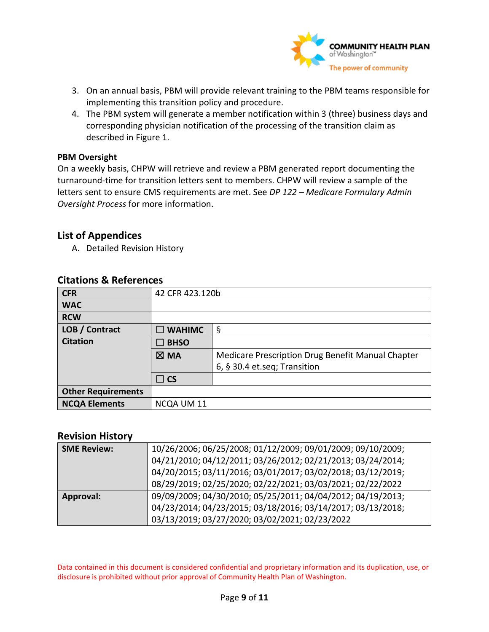

- 3. On an annual basis, PBM will provide relevant training to the PBM teams responsible for implementing this transition policy and procedure.
- 4. The PBM system will generate a member notification within 3 (three) business days and corresponding physician notification of the processing of the transition claim as described in Figure 1.

#### **PBM Oversight**

On a weekly basis, CHPW will retrieve and review a PBM generated report documenting the turnaround-time for transition letters sent to members. CHPW will review a sample of the letters sent to ensure CMS requirements are met. See *DP 122 – Medicare Formulary Admin Oversight Process* for more information.

### **List of Appendices**

A. Detailed Revision History

| <b>CFR</b>                | 42 CFR 423.120b  |                                                   |
|---------------------------|------------------|---------------------------------------------------|
| <b>WAC</b>                |                  |                                                   |
| <b>RCW</b>                |                  |                                                   |
| LOB / Contract            | $\square$ WAHIMC | $\S$                                              |
| <b>Citation</b>           | $\square$ BHSO   |                                                   |
|                           | $\boxtimes$ MA   | Medicare Prescription Drug Benefit Manual Chapter |
|                           |                  | 6, § 30.4 et.seq; Transition                      |
|                           | $\Box$ CS        |                                                   |
| <b>Other Requirements</b> |                  |                                                   |
| <b>NCQA Elements</b>      | NCQA UM 11       |                                                   |

### **Citations & References**

### **Revision History**

| <b>SME Review:</b> | 10/26/2006; 06/25/2008; 01/12/2009; 09/01/2009; 09/10/2009; |
|--------------------|-------------------------------------------------------------|
|                    | 04/21/2010; 04/12/2011; 03/26/2012; 02/21/2013; 03/24/2014; |
|                    | 04/20/2015; 03/11/2016; 03/01/2017; 03/02/2018; 03/12/2019; |
|                    | 08/29/2019; 02/25/2020; 02/22/2021; 03/03/2021; 02/22/2022  |
| Approval:          | 09/09/2009; 04/30/2010; 05/25/2011; 04/04/2012; 04/19/2013; |
|                    | 04/23/2014; 04/23/2015; 03/18/2016; 03/14/2017; 03/13/2018; |
|                    | 03/13/2019; 03/27/2020; 03/02/2021; 02/23/2022              |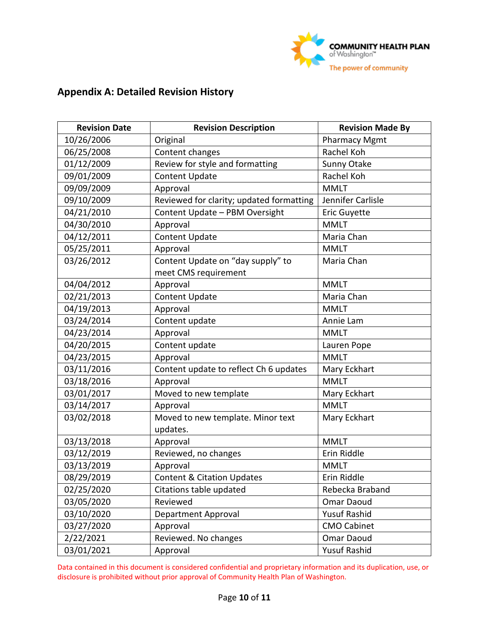

# **Appendix A: Detailed Revision History**

| <b>Revision Date</b> | <b>Revision Description</b>              | <b>Revision Made By</b> |  |
|----------------------|------------------------------------------|-------------------------|--|
| 10/26/2006           | Original                                 | <b>Pharmacy Mgmt</b>    |  |
| 06/25/2008           | Content changes                          | Rachel Koh              |  |
| 01/12/2009           | Review for style and formatting          | Sunny Otake             |  |
| 09/01/2009           | <b>Content Update</b>                    | Rachel Koh              |  |
| 09/09/2009           | Approval                                 | <b>MMLT</b>             |  |
| 09/10/2009           | Reviewed for clarity; updated formatting | Jennifer Carlisle       |  |
| 04/21/2010           | Content Update - PBM Oversight           | Eric Guyette            |  |
| 04/30/2010           | Approval                                 | <b>MMLT</b>             |  |
| 04/12/2011           | <b>Content Update</b>                    | Maria Chan              |  |
| 05/25/2011           | Approval                                 | <b>MMLT</b>             |  |
| 03/26/2012           | Content Update on "day supply" to        | Maria Chan              |  |
|                      | meet CMS requirement                     |                         |  |
| 04/04/2012           | Approval                                 | <b>MMLT</b>             |  |
| 02/21/2013           | <b>Content Update</b>                    | Maria Chan              |  |
| 04/19/2013           | Approval                                 | <b>MMLT</b>             |  |
| 03/24/2014           | Content update                           | Annie Lam               |  |
| 04/23/2014           | Approval                                 | <b>MMLT</b>             |  |
| 04/20/2015           | Content update                           | Lauren Pope             |  |
| 04/23/2015           | Approval                                 | <b>MMLT</b>             |  |
| 03/11/2016           | Content update to reflect Ch 6 updates   | Mary Eckhart            |  |
| 03/18/2016           | Approval                                 | <b>MMLT</b>             |  |
| 03/01/2017           | Moved to new template                    | Mary Eckhart            |  |
| 03/14/2017           | Approval                                 | <b>MMLT</b>             |  |
| 03/02/2018           | Moved to new template. Minor text        | Mary Eckhart            |  |
|                      | updates.                                 |                         |  |
| 03/13/2018           | Approval                                 | <b>MMLT</b>             |  |
| 03/12/2019           | Reviewed, no changes                     | Erin Riddle             |  |
| 03/13/2019           | Approval                                 | <b>MMLT</b>             |  |
| 08/29/2019           | <b>Content &amp; Citation Updates</b>    | Erin Riddle             |  |
| 02/25/2020           | Citations table updated                  | Rebecka Braband         |  |
| 03/05/2020           | Reviewed                                 | Omar Daoud              |  |
| 03/10/2020           | Department Approval                      | <b>Yusuf Rashid</b>     |  |
| 03/27/2020           | Approval                                 | <b>CMO Cabinet</b>      |  |
| 2/22/2021            | Reviewed. No changes                     | Omar Daoud              |  |
| 03/01/2021           | Approval                                 | <b>Yusuf Rashid</b>     |  |